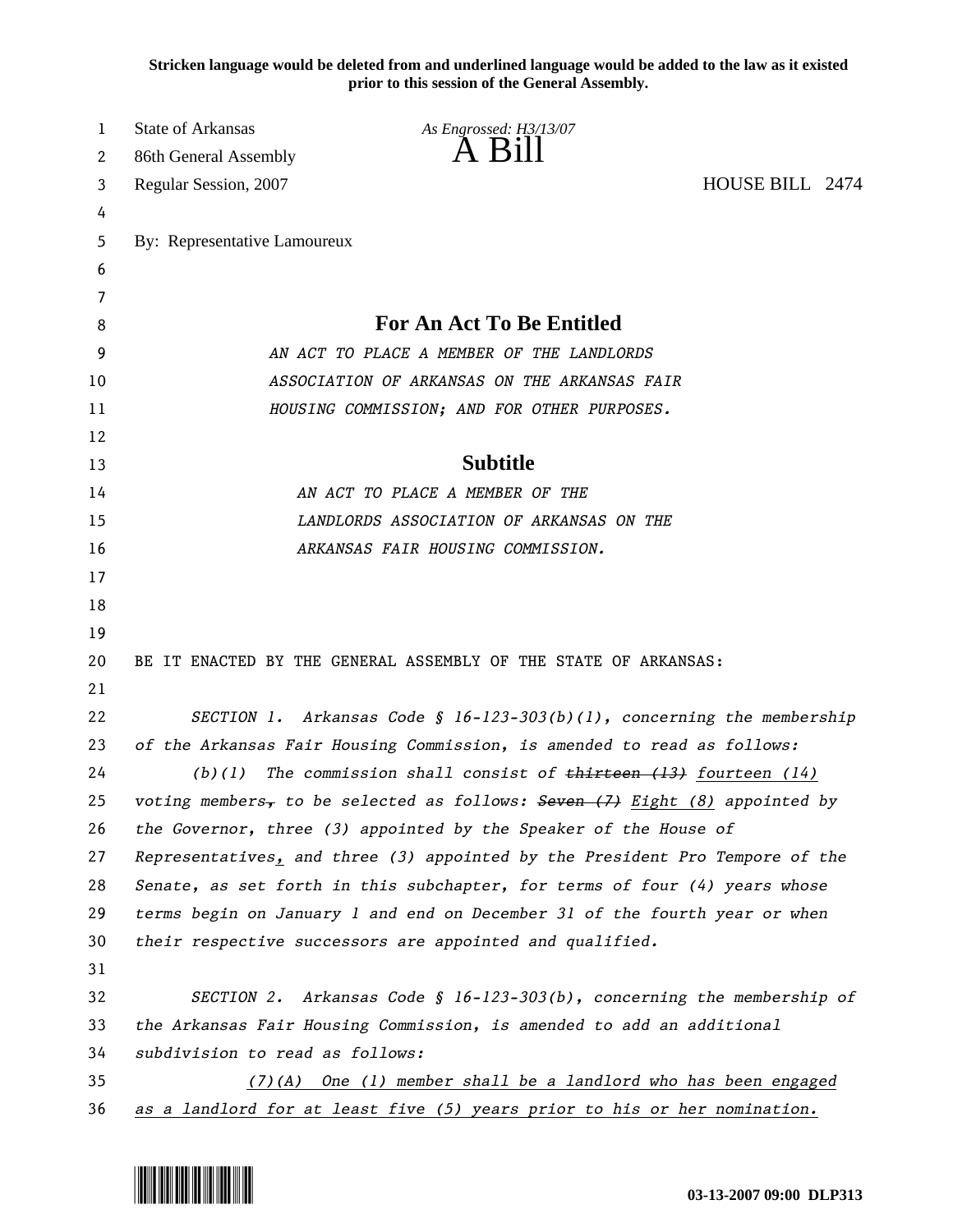**Stricken language would be deleted from and underlined language would be added to the law as it existed prior to this session of the General Assembly.**

| 1  | <b>State of Arkansas</b>        | As Engrossed: H3/13/07                                                                      |                 |  |
|----|---------------------------------|---------------------------------------------------------------------------------------------|-----------------|--|
| 2  | 86th General Assembly           |                                                                                             |                 |  |
| 3  | Regular Session, 2007           |                                                                                             | HOUSE BILL 2474 |  |
| 4  |                                 |                                                                                             |                 |  |
| 5  | By: Representative Lamoureux    |                                                                                             |                 |  |
| 6  |                                 |                                                                                             |                 |  |
| 7  |                                 |                                                                                             |                 |  |
| 8  |                                 | <b>For An Act To Be Entitled</b>                                                            |                 |  |
| 9  |                                 | AN ACT TO PLACE A MEMBER OF THE LANDLORDS                                                   |                 |  |
| 10 |                                 | ASSOCIATION OF ARKANSAS ON THE ARKANSAS FAIR                                                |                 |  |
| 11 |                                 | HOUSING COMMISSION; AND FOR OTHER PURPOSES.                                                 |                 |  |
| 12 |                                 |                                                                                             |                 |  |
| 13 |                                 | <b>Subtitle</b>                                                                             |                 |  |
| 14 |                                 | AN ACT TO PLACE A MEMBER OF THE                                                             |                 |  |
| 15 |                                 | LANDLORDS ASSOCIATION OF ARKANSAS ON THE                                                    |                 |  |
| 16 |                                 | ARKANSAS FAIR HOUSING COMMISSION.                                                           |                 |  |
| 17 |                                 |                                                                                             |                 |  |
| 18 |                                 |                                                                                             |                 |  |
| 19 |                                 |                                                                                             |                 |  |
| 20 |                                 | BE IT ENACTED BY THE GENERAL ASSEMBLY OF THE STATE OF ARKANSAS:                             |                 |  |
| 21 |                                 |                                                                                             |                 |  |
| 22 |                                 | SECTION 1. Arkansas Code § $16 - 123 - 303(b)(1)$ , concerning the membership               |                 |  |
| 23 |                                 | of the Arkansas Fair Housing Commission, is amended to read as follows:                     |                 |  |
| 24 | (b)(1)                          | The commission shall consist of $t$ thirteen $(13)$ fourteen $(14)$                         |                 |  |
| 25 |                                 | voting members <sub>7</sub> to be selected as follows: Seven $(7)$ Eight $(8)$ appointed by |                 |  |
| 26 |                                 | the Governor, three (3) appointed by the Speaker of the House of                            |                 |  |
| 27 |                                 | Representatives, and three (3) appointed by the President Pro Tempore of the                |                 |  |
| 28 |                                 | Senate, as set forth in this subchapter, for terms of four (4) years whose                  |                 |  |
| 29 |                                 | terms begin on January 1 and end on December 31 of the fourth year or when                  |                 |  |
| 30 |                                 | their respective successors are appointed and qualified.                                    |                 |  |
| 31 |                                 |                                                                                             |                 |  |
| 32 |                                 | SECTION 2. Arkansas Code § 16-123-303(b), concerning the membership of                      |                 |  |
| 33 |                                 | the Arkansas Fair Housing Commission, is amended to add an additional                       |                 |  |
| 34 | subdivision to read as follows: |                                                                                             |                 |  |
| 35 | $(7)$ (A)                       | One (1) member shall be a landlord who has been engaged                                     |                 |  |
| 36 |                                 | as a landlord for at least five (5) years prior to his or her nomination.                   |                 |  |